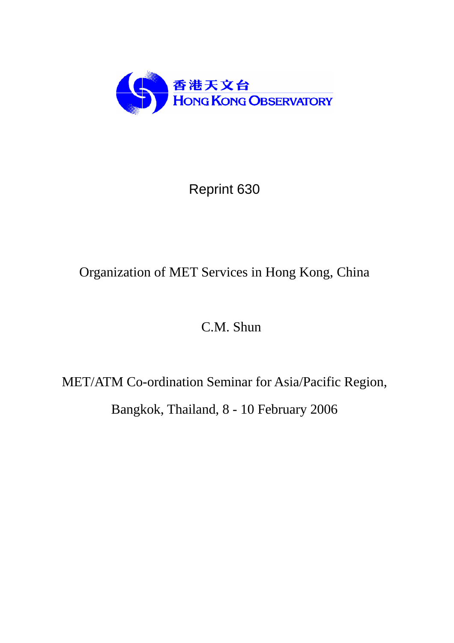

# Reprint 630

## Organization of MET Services in Hong Kong, China

## C.M. Shun

MET/ATM Co-ordination Seminar for Asia/Pacific Region, Bangkok, Thailand, 8 - 10 February 2006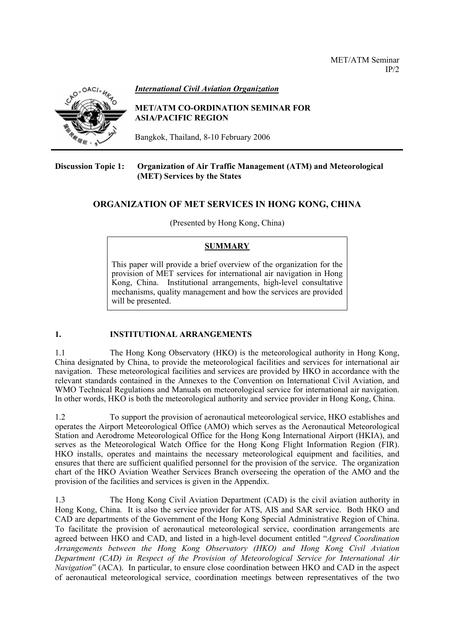

*International Civil Aviation Organization*

#### **MET/ATM CO-ORDINATION SEMINAR FOR ASIA/PACIFIC REGION**

Bangkok, Thailand, 8-10 February 2006

#### **Discussion Topic 1: Organization of Air Traffic Management (ATM) and Meteorological (MET) Services by the States**

## **ORGANIZATION OF MET SERVICES IN HONG KONG, CHINA**

(Presented by Hong Kong, China)

## **SUMMARY**

This paper will provide a brief overview of the organization for the provision of MET services for international air navigation in Hong Kong, China. Institutional arrangements, high-level consultative mechanisms, quality management and how the services are provided will be presented.

## **1. INSTITUTIONAL ARRANGEMENTS**

1.1 The Hong Kong Observatory (HKO) is the meteorological authority in Hong Kong, China designated by China, to provide the meteorological facilities and services for international air navigation. These meteorological facilities and services are provided by HKO in accordance with the relevant standards contained in the Annexes to the Convention on International Civil Aviation, and WMO Technical Regulations and Manuals on meteorological service for international air navigation. In other words, HKO is both the meteorological authority and service provider in Hong Kong, China.

1.2 To support the provision of aeronautical meteorological service, HKO establishes and operates the Airport Meteorological Office (AMO) which serves as the Aeronautical Meteorological Station and Aerodrome Meteorological Office for the Hong Kong International Airport (HKIA), and serves as the Meteorological Watch Office for the Hong Kong Flight Information Region (FIR). HKO installs, operates and maintains the necessary meteorological equipment and facilities, and ensures that there are sufficient qualified personnel for the provision of the service. The organization chart of the HKO Aviation Weather Services Branch overseeing the operation of the AMO and the provision of the facilities and services is given in the Appendix.

1.3 The Hong Kong Civil Aviation Department (CAD) is the civil aviation authority in Hong Kong, China. It is also the service provider for ATS, AIS and SAR service. Both HKO and CAD are departments of the Government of the Hong Kong Special Administrative Region of China. To facilitate the provision of aeronautical meteorological service, coordination arrangements are agreed between HKO and CAD, and listed in a high-level document entitled "*Agreed Coordination Arrangements between the Hong Kong Observatory (HKO) and Hong Kong Civil Aviation Department (CAD) in Respect of the Provision of Meteorological Service for International Air Navigation*" (ACA). In particular, to ensure close coordination between HKO and CAD in the aspect of aeronautical meteorological service, coordination meetings between representatives of the two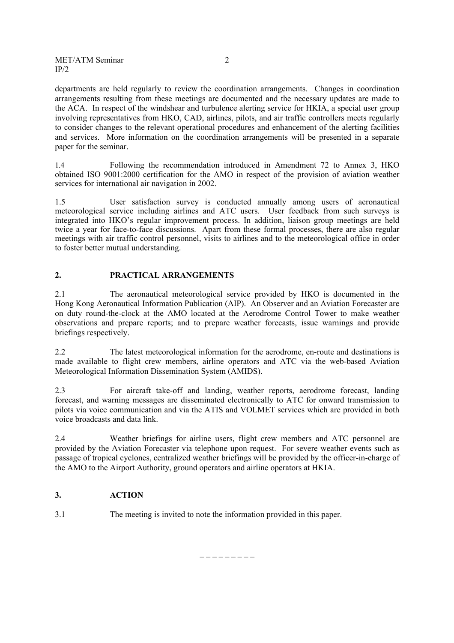departments are held regularly to review the coordination arrangements. Changes in coordination arrangements resulting from these meetings are documented and the necessary updates are made to the ACA. In respect of the windshear and turbulence alerting service for HKIA, a special user group involving representatives from HKO, CAD, airlines, pilots, and air traffic controllers meets regularly to consider changes to the relevant operational procedures and enhancement of the alerting facilities and services. More information on the coordination arrangements will be presented in a separate paper for the seminar.

1.4 Following the recommendation introduced in Amendment 72 to Annex 3, HKO obtained ISO 9001:2000 certification for the AMO in respect of the provision of aviation weather services for international air navigation in 2002.

1.5 User satisfaction survey is conducted annually among users of aeronautical meteorological service including airlines and ATC users. User feedback from such surveys is integrated into HKO's regular improvement process. In addition, liaison group meetings are held twice a year for face-to-face discussions. Apart from these formal processes, there are also regular meetings with air traffic control personnel, visits to airlines and to the meteorological office in order to foster better mutual understanding.

## **2. PRACTICAL ARRANGEMENTS**

2.1 The aeronautical meteorological service provided by HKO is documented in the Hong Kong Aeronautical Information Publication (AIP). An Observer and an Aviation Forecaster are on duty round-the-clock at the AMO located at the Aerodrome Control Tower to make weather observations and prepare reports; and to prepare weather forecasts, issue warnings and provide briefings respectively.

2.2 The latest meteorological information for the aerodrome, en-route and destinations is made available to flight crew members, airline operators and ATC via the web-based Aviation Meteorological Information Dissemination System (AMIDS).

2.3 For aircraft take-off and landing, weather reports, aerodrome forecast, landing forecast, and warning messages are disseminated electronically to ATC for onward transmission to pilots via voice communication and via the ATIS and VOLMET services which are provided in both voice broadcasts and data link.

2.4 Weather briefings for airline users, flight crew members and ATC personnel are provided by the Aviation Forecaster via telephone upon request. For severe weather events such as passage of tropical cyclones, centralized weather briefings will be provided by the officer-in-charge of the AMO to the Airport Authority, ground operators and airline operators at HKIA.

## **3. ACTION**

3.1 The meeting is invited to note the information provided in this paper.

**\_ \_ \_ \_ \_ \_ \_ \_ \_**